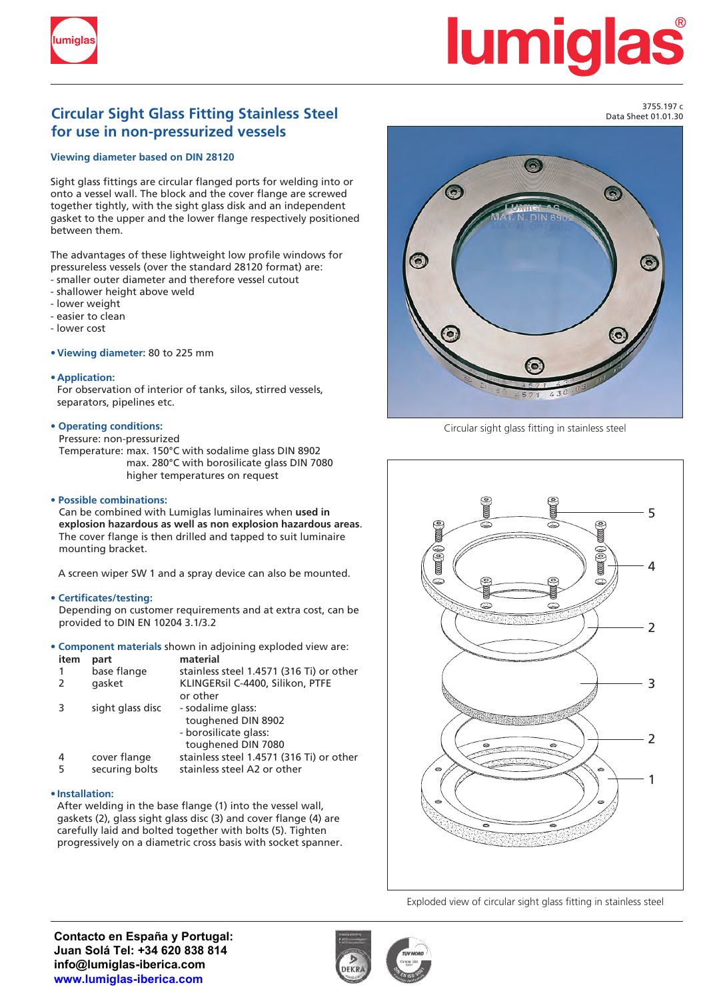

# **lumiq**

### **Circular Sight Glass Fitting Stainless Steel** Development of the Catalogue of the S<sup>3755.197</sup> c **for use in non-pressurized vessels**

#### **Viewing diameter based on DIN 28120**

Sight glass fittings are circular flanged ports for welding into or onto a vessel wall. The block and the cover flange are screwed together tightly, with the sight glass disk and an independent gasket to the upper and the lower flange respectively positioned between them.

The advantages of these lightweight low profile windows for pressureless vessels (over the standard 28120 format) are: - smaller outer diameter and therefore vessel cutout

- shallower height above weld
- lower weight
- easier to clean
- lower cost

**• Viewing diameter:** 80 to 225 mm

#### **• Application:**

For observation of interior of tanks, silos, stirred vessels, separators, pipelines etc.

#### **• Operating conditions:**

Pressure: non-pressurized

Temperature: max. 150°C with sodalime glass DIN 8902 max. 280°C with borosilicate glass DIN 7080 higher temperatures on request

#### **• Possible combinations:**

Can be combined with Lumiglas luminaires when **used in explosion hazardous as well as non explosion hazardous areas**. The cover flange is then drilled and tapped to suit luminaire mounting bracket.

A screen wiper SW 1 and a spray device can also be mounted.

#### **• Certificates/testing:**

Depending on customer requirements and at extra cost, can be provided to DIN EN 10204 3.1/3.2

**• Component materials** shown in adjoining exploded view are:

| item          | part             | material                                 |
|---------------|------------------|------------------------------------------|
| 1             | base flange      | stainless steel 1.4571 (316 Ti) or other |
| $\mathcal{L}$ | qasket           | KLINGERsil C-4400, Silikon, PTFE         |
|               |                  | or other                                 |
|               | sight glass disc | - sodalime glass:                        |
|               |                  | toughened DIN 8902                       |
|               |                  | - borosilicate glass:                    |
|               |                  | toughened DIN 7080                       |
| 4             | cover flange     | stainless steel 1.4571 (316 Ti) or other |
| 5             | securing bolts   | stainless steel A2 or other              |

#### **• Installation:**

After welding in the base flange (1) into the vessel wall, gaskets (2), glass sight glass disc (3) and cover flange (4) are carefully laid and bolted together with bolts (5). Tighten progressively on a diametric cross basis with socket spanner.



Circular sight glass fitting in stainless steel



Exploded view of circular sight glass fitting in stainless steel

**Contacto en España y Portugal: Juan Solá Tel: +34 620 838 814 info@lumiglas-iberica.com www.lumiglas-iberica.com**